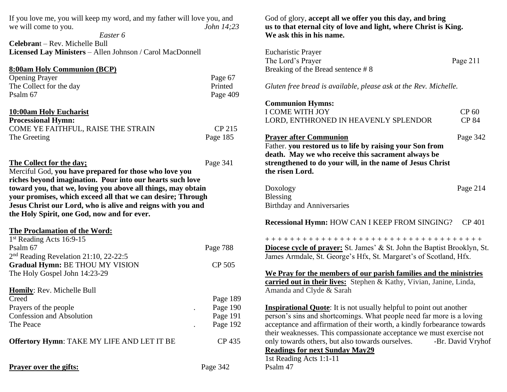| If you love me, you will keep my word, and my father will love you, and |                   |
|-------------------------------------------------------------------------|-------------------|
| we will come to you.                                                    | <i>John 14:23</i> |
| Easter 6                                                                |                   |

**Celebran**t – Rev. Michelle Bull **Licensed Lay Ministers** – Allen Johnson / Carol MacDonnell

| 8:00am Holy Communion (BCP)        |          |
|------------------------------------|----------|
| <b>Opening Prayer</b>              | Page 67  |
| The Collect for the day            | Printed  |
| Psalm 67                           | Page 409 |
| 10:00am Holy Eucharist             |          |
| <b>Processional Hymn:</b>          |          |
| COME YE FAITHFUL, RAISE THE STRAIN | CP 215   |

| The Greeting | Page 185 |
|--------------|----------|
|              |          |

## **The Collect for the day;** Page 341

Merciful God, **you have prepared for those who love you riches beyond imagination. Pour into our hearts such love toward you, that we, loving you above all things, may obtain your promises, which exceed all that we can desire; Through Jesus Christ our Lord, who is alive and reigns with you and the Holy Spirit, one God, now and for ever.**

## **The Proclamation of the Word:**

| $1st$ Reading Acts 16:9-15                                                                                  |          |
|-------------------------------------------------------------------------------------------------------------|----------|
| Psalm 67                                                                                                    | Page 788 |
| $2nd$ Reading Revelation 21:10, 22-22:5<br>Gradual Hymn: BE THOU MY VISION<br>The Holy Gospel John 14:23-29 | CP 505   |
| Homily: Rev. Michelle Bull                                                                                  |          |
| Creed                                                                                                       | Page 189 |
| Prayers of the people                                                                                       | Page 190 |
| <b>Confession and Absolution</b>                                                                            | Page 191 |
| The Peace                                                                                                   | Page 192 |
| <b>Offertory Hymn: TAKE MY LIFE AND LET IT BE</b>                                                           | CP 435   |
| <b>Prayer over the gifts:</b>                                                                               | Page 342 |

God of glory, **accept all we offer you this day, and bring us to that eternal city of love and light, where Christ is King. We ask this in his name.**

| <b>Eucharistic Prayer</b><br>The Lord's Prayer<br>Breaking of the Bread sentence #8                                                                                                                                                                                                                                                                                                                                                        | Page 211              |
|--------------------------------------------------------------------------------------------------------------------------------------------------------------------------------------------------------------------------------------------------------------------------------------------------------------------------------------------------------------------------------------------------------------------------------------------|-----------------------|
| Gluten free bread is available, please ask at the Rev. Michelle.                                                                                                                                                                                                                                                                                                                                                                           |                       |
| <b>Communion Hymns:</b><br>I COME WITH JOY<br>LORD, ENTHRONED IN HEAVENLY SPLENDOR                                                                                                                                                                                                                                                                                                                                                         | CP 60<br><b>CP 84</b> |
| <u>Prayer after Communion</u><br>Father. you restored us to life by raising your Son from<br>death. May we who receive this sacrament always be<br>strengthened to do your will, in the name of Jesus Christ<br>the risen Lord.                                                                                                                                                                                                            | Page 342              |
| Doxology<br>Blessing<br><b>Birthday and Anniversaries</b>                                                                                                                                                                                                                                                                                                                                                                                  | Page 214              |
| Recessional Hymn: HOW CAN I KEEP FROM SINGING?                                                                                                                                                                                                                                                                                                                                                                                             | CP 401                |
| <b>Diocese cycle of prayer:</b> St. James' & St. John the Baptist Brooklyn, St.<br>James Armdale, St. George's Hfx, St. Margaret's of Scotland, Hfx.<br>We Pray for the members of our parish families and the ministries                                                                                                                                                                                                                  |                       |
| carried out in their lives: Stephen & Kathy, Vivian, Janine, Linda,<br>Amanda and Clyde & Sarah                                                                                                                                                                                                                                                                                                                                            |                       |
| <b>Inspirational Quote:</b> It is not usually helpful to point out another<br>person's sins and shortcomings. What people need far more is a loving<br>acceptance and affirmation of their worth, a kindly forbearance towards<br>their weaknesses. This compassionate acceptance we must exercise not<br>only towards others, but also towards ourselves.<br><b>Readings for next Sunday May29</b><br>1st Reading Acts 1:1-11<br>Psalm 47 | -Br. David Vryhof     |